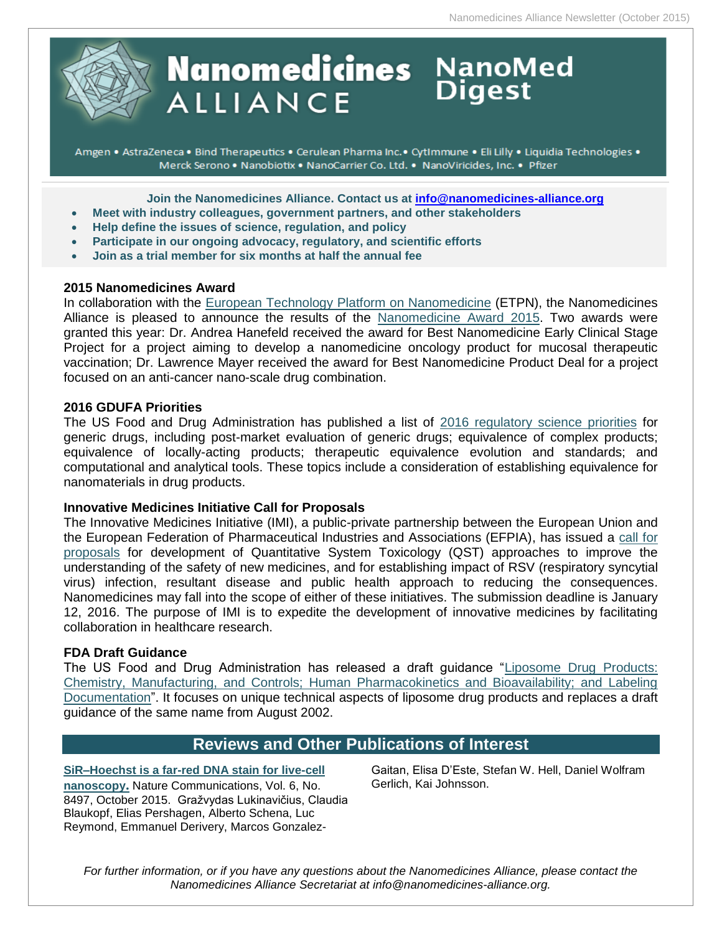

# **Nanomedicines** NanoMed **ALLIANCE**

Amgen • AstraZeneca • Bind Therapeutics • Cerulean Pharma Inc. • CytImmune • Eli Lilly • Liquidia Technologies • Merck Serono . Nanobiotix . NanoCarrier Co. Ltd. . NanoViricides, Inc. . Pfizer

**Join the Nanomedicines Alliance. Contact us at [info@nanomedicines-alliance.org](file:///C:/NRPortbl/ACTIVE/ROBERTAF/info@nanomedicines-alliance.org)**

- **Meet with industry colleagues, government partners, and other stakeholders**
- **Relp define the issues of science, regulation, and policy**
- **Participate in our ongoing advocacy, regulatory, and scientific efforts**
- **Join as a trial member for six months at half the annual fee**

## **2015 Nanomedicines Award**

In collaboration with the [European Technology Platform on Nanomedicine](http://www.etp-nanomedicine.eu/public) (ETPN), the Nanomedicines Alliance is pleased to announce the results of the [Nanomedicine Award 2015.](http://www.etp-nanomedicine.eu/public/news-events/news/nanomedicine-award-2015-2-projects-awarded) Two awards were granted this year: Dr. Andrea Hanefeld received the award for Best Nanomedicine Early Clinical Stage Project for a project aiming to develop a nanomedicine oncology product for mucosal therapeutic vaccination; Dr. Lawrence Mayer received the award for Best Nanomedicine Product Deal for a project focused on an anti-cancer nano-scale drug combination.

## **2016 GDUFA Priorities**

The US Food and Drug Administration has published a list of [2016 regulatory science priorities](http://www.fda.gov/downloads/ForIndustry/UserFees/GenericDrugUserFees/UCM469453.pdf) for generic drugs, including post-market evaluation of generic drugs; equivalence of complex products; equivalence of locally-acting products; therapeutic equivalence evolution and standards; and computational and analytical tools. These topics include a consideration of establishing equivalence for nanomaterials in drug products.

## **Innovative Medicines Initiative Call for Proposals**

The Innovative Medicines Initiative (IMI), a public-private partnership between the European Union and the European Federation of Pharmaceutical Industries and Associations (EFPIA), has issued a [call for](http://www.imi.europa.eu/content/stage-1-17)  [proposals](http://www.imi.europa.eu/content/stage-1-17) for development of Quantitative System Toxicology (QST) approaches to improve the understanding of the safety of new medicines, and for establishing impact of RSV (respiratory syncytial virus) infection, resultant disease and public health approach to reducing the consequences. Nanomedicines may fall into the scope of either of these initiatives. The submission deadline is January 12, 2016. The purpose of IMI is to expedite the development of innovative medicines by facilitating collaboration in healthcare research.

## **FDA Draft Guidance**

The US Food and Drug Administration has released a draft guidance ["Liposome Drug Products:](http://www.fda.gov/downloads/drugs/guidancecomplianceregulatoryinformation/guidances/ucm070570.pdf)  [Chemistry, Manufacturing, and Controls; Human Pharmacokinetics and Bioavailability; and Labeling](http://www.fda.gov/downloads/drugs/guidancecomplianceregulatoryinformation/guidances/ucm070570.pdf)  [Documentation"](http://www.fda.gov/downloads/drugs/guidancecomplianceregulatoryinformation/guidances/ucm070570.pdf). It focuses on unique technical aspects of liposome drug products and replaces a draft guidance of the same name from August 2002.

## **Reviews and Other Publications of Interest**

**[SiR–Hoechst is a far-red DNA stain for live-cell](http://www.nature.com/ncomms/2015/151001/ncomms9497/full/ncomms9497.html)  [nanoscopy](http://www.nature.com/ncomms/2015/151001/ncomms9497/full/ncomms9497.html).** Nature Communications, Vol. 6, No. 8497, October 2015. Gražvydas Lukinavičius, Claudia Blaukopf, Elias Pershagen, Alberto Schena, Luc Reymond, Emmanuel Derivery, Marcos GonzalezGaitan, Elisa D'Este, Stefan W. Hell, Daniel Wolfram Gerlich, Kai Johnsson.

*For further information, or if you have any questions about the Nanomedicines Alliance, please contact the Nanomedicines Alliance Secretariat at info@nanomedicines-alliance.org.*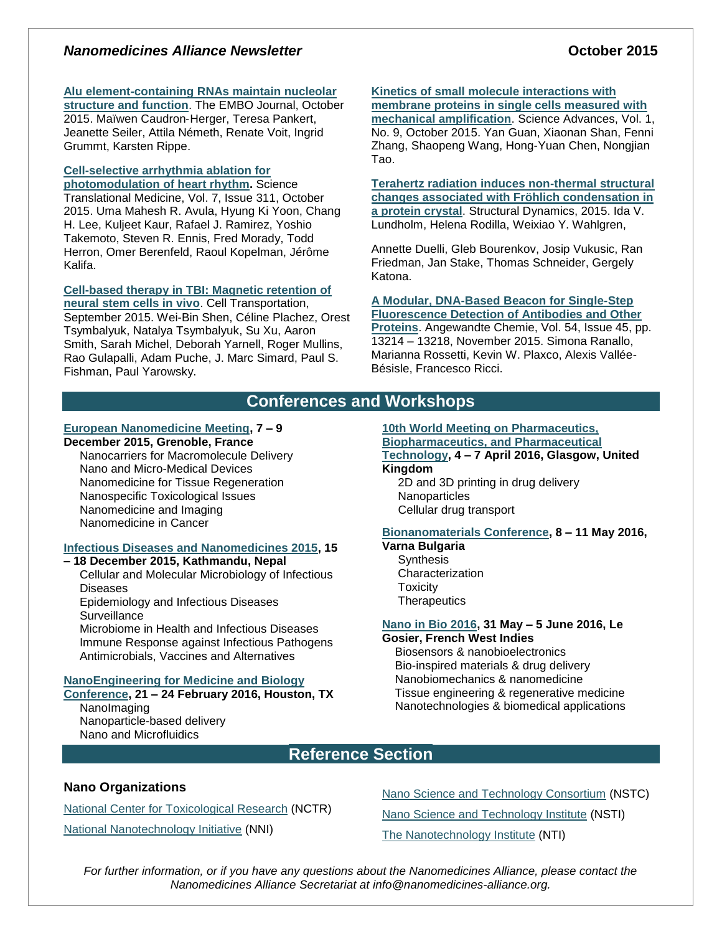## *Nanomedicines Alliance Newsletter* **Community 1996 October** 2015

#### **[Alu element-containing RNAs maintain nucleolar](http://emboj.embopress.org/content/34/22/2758)**

**[structure and function](http://emboj.embopress.org/content/34/22/2758)**. The EMBO Journal, October 2015. Maïwen Caudron‐Herger, Teresa Pankert, Jeanette Seiler, Attila Németh, Renate Voit, Ingrid Grummt, Karsten Rippe.

## **[Cell-selective arrhythmia ablation for](http://stm.sciencemag.org/content/7/311/311ra172)**

**[photomodulation of heart rhythm.](http://stm.sciencemag.org/content/7/311/311ra172)** Science Translational Medicine, Vol. 7, Issue 311, October 2015. Uma Mahesh R. Avula, Hyung Ki Yoon, Chang H. Lee, Kuljeet Kaur, Rafael J. Ramirez, Yoshio Takemoto, Steven R. Ennis, Fred Morady, Todd Herron, Omer Berenfeld, Raoul Kopelman, Jérôme Kalifa.

#### **[Cell-based therapy in TBI: Magnetic retention of](http://ingentaconnect.com/content/cog/ct/pre-prints/content-CT-1424_Shen_et_al)  [neural stem cells in vivo](http://ingentaconnect.com/content/cog/ct/pre-prints/content-CT-1424_Shen_et_al)**. Cell Transportation,

September 2015. Wei-Bin Shen, Céline Plachez, Orest Tsymbalyuk, Natalya Tsymbalyuk, Su Xu, Aaron Smith, Sarah Michel, Deborah Yarnell, Roger Mullins, Rao Gulapalli, Adam Puche, J. Marc Simard, Paul S. Fishman, Paul Yarowsky.

## **[Kinetics of small molecule interactions with](http://advances.sciencemag.org/content/1/9/e1500633)**

**[membrane proteins in single cells measured with](http://advances.sciencemag.org/content/1/9/e1500633)  [mechanical amplification](http://advances.sciencemag.org/content/1/9/e1500633)**. Science Advances, Vol. 1, No. 9, October 2015. Yan Guan, Xiaonan Shan, Fenni Zhang, Shaopeng Wang, Hong-Yuan Chen, Nongjian Tao.

**[Terahertz radiation induces non-thermal structural](http://scitation.aip.org/content/aca/journal/sdy/2/5/10.1063/1.4931825)  [changes associated with Fröhlich condensation in](http://scitation.aip.org/content/aca/journal/sdy/2/5/10.1063/1.4931825)  [a protein crystal](http://scitation.aip.org/content/aca/journal/sdy/2/5/10.1063/1.4931825)**. Structural Dynamics, 2015. Ida V. Lundholm, Helena Rodilla, Weixiao Y. Wahlgren,

Annette Duelli, Gleb Bourenkov, Josip Vukusic, Ran Friedman, Jan Stake, Thomas Schneider, Gergely Katona.

**[A Modular, DNA-Based Beacon for Single-Step](http://onlinelibrary.wiley.com/doi/10.1002/anie.201505179/abstract)  [Fluorescence Detection of Antibodies and Other](http://onlinelibrary.wiley.com/doi/10.1002/anie.201505179/abstract)** 

**[Proteins](http://onlinelibrary.wiley.com/doi/10.1002/anie.201505179/abstract)**. Angewandte Chemie, Vol. 54, Issue 45, pp. 13214 – 13218, November 2015. Simona Ranallo, Marianna Rossetti, Kevin W. Plaxco, Alexis Vallée-Bésisle, Francesco Ricci.

## **Conferences and Workshops**

#### **[European Nanomedicine Meeting,](http://www.sfnano.fr/european-nanomedicine-meeting-2015-topics/) 7 – 9 December 2015, Grenoble, France**

Nanocarriers for Macromolecule Delivery Nano and Micro-Medical Devices Nanomedicine for Tissue Regeneration Nanospecific Toxicological Issues Nanomedicine and Imaging Nanomedicine in Cancer

## **[Infectious Diseases and Nanomedicines 2015,](http://www.icidn2015.com/programs.php) 15**

## **– 18 December 2015, Kathmandu, Nepal**

Cellular and Molecular Microbiology of Infectious Diseases

Epidemiology and Infectious Diseases **Surveillance** 

Microbiome in Health and Infectious Diseases Immune Response against Infectious Pathogens Antimicrobials, Vaccines and Alternatives

## **[NanoEngineering for Medicine and Biology](https://www.asme.org/events/nemb.aspx)**

**[Conference,](https://www.asme.org/events/nemb.aspx) 21 – 24 February 2016, Houston, TX** NanoImaging Nanoparticle-based delivery

Nano and Microfluidics

## **[10th World Meeting on Pharmaceutics,](http://www.worldmeeting.org/home/)**

**[Biopharmaceutics, and Pharmaceutical](http://www.worldmeeting.org/home/)  [Technology,](http://www.worldmeeting.org/home/) 4 – 7 April 2016, Glasgow, United Kingdom**

2D and 3D printing in drug delivery **Nanoparticles** Cellular drug transport

## **[Bionanomaterials Conference,](http://www.zingconferences.com/conferences/6th-zing-bionanomaterials-conference/) 8 – 11 May 2016,**

**Varna Bulgaria Synthesis** Characterization **Toxicity Therapeutics** 

# **[Nano in Bio 2016,](http://nanoinbio2016.sciencesconf.org/) 31 May – 5 June 2016, Le**

**Gosier, French West Indies**

 Biosensors & nanobioelectronics Bio-inspired materials & drug delivery Nanobiomechanics & nanomedicine Tissue engineering & regenerative medicine Nanotechnologies & biomedical applications

# **Reference Section**

## **Nano Organizations**

[National Center for Toxicological](http://www.fda.gov/AboutFDA/CentersOffices/NCTR/default.htm) Research (NCTR) [National Nanotechnology Initiative](http://www.nano.gov/) (NNI)

[Nano Science and Technology Consortium](http://www.nstc.in/) (NSTC)

[Nano Science and Technology Institute](http://www.nsti.org/) (NSTI)

The [Nanotechnology Institute](http://nanotechinstitute.org/) (NTI)

*For further information, or if you have any questions about the Nanomedicines Alliance, please contact the Nanomedicines Alliance Secretariat at info@nanomedicines-alliance.org.*